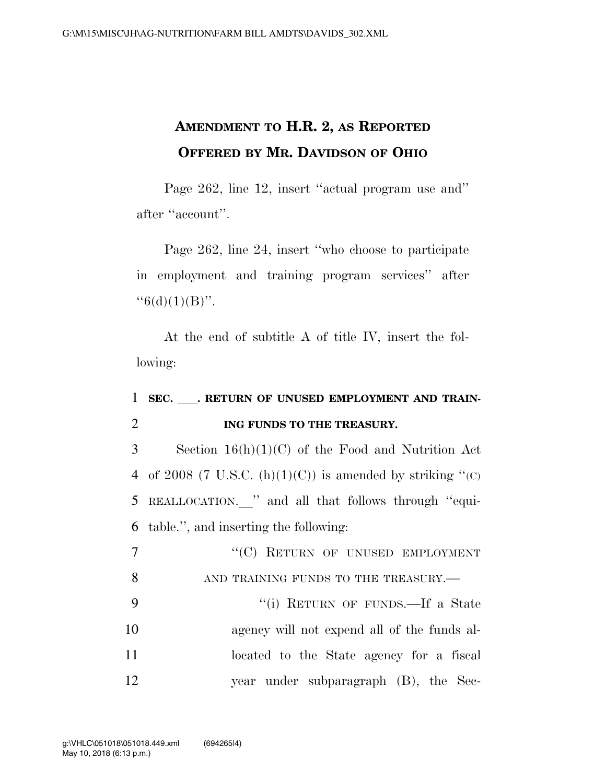## **AMENDMENT TO H.R. 2, AS REPORTED OFFERED BY MR. DAVIDSON OF OHIO**

Page 262, line 12, insert ''actual program use and'' after ''account''.

Page 262, line 24, insert ''who choose to participate in employment and training program services'' after  $``6(d)(1)(B)''$ .

At the end of subtitle A of title IV, insert the following:

## 1 SEC. RETURN OF UNUSED EMPLOYMENT AND TRAIN-2 **ING FUNDS TO THE TREASURY.**

3 Section 16(h)(1)(C) of the Food and Nutrition Act 4 of 2008 (7 U.S.C.  $(h)(1)(C)$ ) is amended by striking "(C) 5 REALLOCATION. " and all that follows through "equi-6 table.'', and inserting the following:

| $\overline{7}$ | "(C) RETURN OF UNUSED EMPLOYMENT            |
|----------------|---------------------------------------------|
| - 8            | AND TRAINING FUNDS TO THE TREASURY.-        |
| - 9            | "(i) RETURN OF FUNDS.—If a State            |
| 10             | agency will not expend all of the funds al- |
| 11             | located to the State agency for a fiscal    |
| 12             | year under subparagraph (B), the Sec-       |